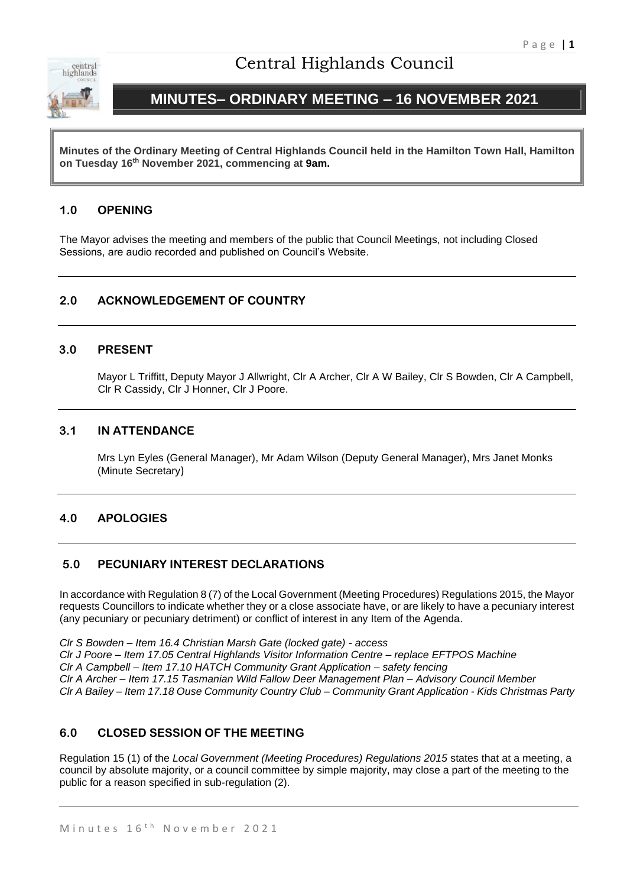

# Central Highlands Council

# **MINUTES– ORDINARY MEETING – 16 NOVEMBER 2021**

**Minutes of the Ordinary Meeting of Central Highlands Council held in the Hamilton Town Hall, Hamilton on Tuesday 16th November 2021, commencing at 9am.**

## **1.0 OPENING**

The Mayor advises the meeting and members of the public that Council Meetings, not including Closed Sessions, are audio recorded and published on Council's Website.

## **2.0 ACKNOWLEDGEMENT OF COUNTRY**

### **3.0 PRESENT**

Mayor L Triffitt, Deputy Mayor J Allwright, Clr A Archer, Clr A W Bailey, Clr S Bowden, Clr A Campbell, Clr R Cassidy, Clr J Honner, Clr J Poore.

## **3.1 IN ATTENDANCE**

Mrs Lyn Eyles (General Manager), Mr Adam Wilson (Deputy General Manager), Mrs Janet Monks (Minute Secretary)

## **4.0 APOLOGIES**

## **5.0 PECUNIARY INTEREST DECLARATIONS**

In accordance with Regulation 8 (7) of the Local Government (Meeting Procedures) Regulations 2015, the Mayor requests Councillors to indicate whether they or a close associate have, or are likely to have a pecuniary interest (any pecuniary or pecuniary detriment) or conflict of interest in any Item of the Agenda.

*Clr S Bowden – Item 16.4 Christian Marsh Gate (locked gate) - access Clr J Poore – Item 17.05 Central Highlands Visitor Information Centre – replace EFTPOS Machine Clr A Campbell – Item 17.10 HATCH Community Grant Application – safety fencing Clr A Archer – Item 17.15 Tasmanian Wild Fallow Deer Management Plan – Advisory Council Member Clr A Bailey – Item 17.18 Ouse Community Country Club – Community Grant Application - Kids Christmas Party*

## **6.0 CLOSED SESSION OF THE MEETING**

Regulation 15 (1) of the *Local Government (Meeting Procedures) Regulations 2015* states that at a meeting, a council by absolute majority, or a council committee by simple majority, may close a part of the meeting to the public for a reason specified in sub-regulation (2).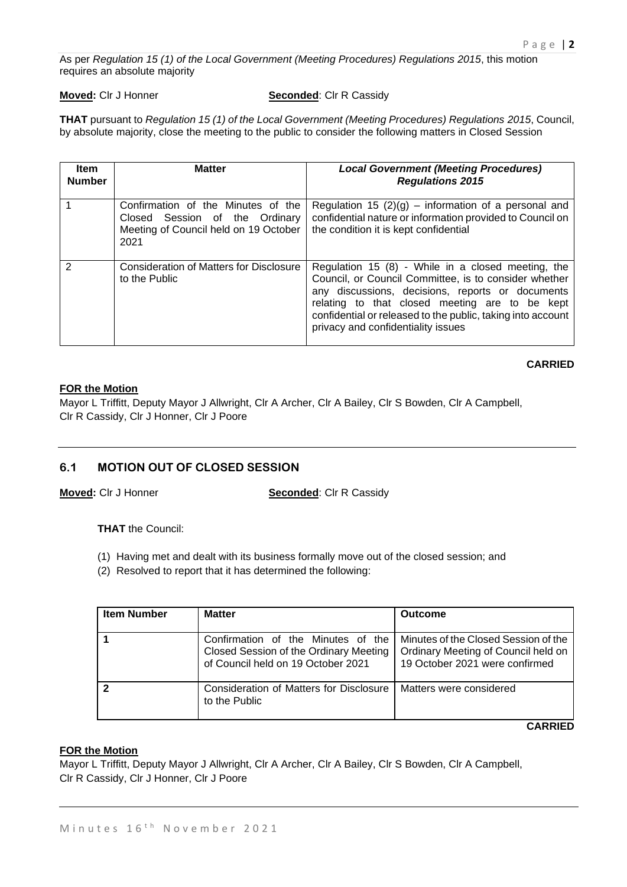As per *Regulation 15 (1) of the Local Government (Meeting Procedures) Regulations 2015*, this motion requires an absolute majority

#### **Moved:** Clr J Honner **Seconded:** Clr R Cassidy

**THAT** pursuant to *Regulation 15 (1) of the Local Government (Meeting Procedures) Regulations 2015*, Council, by absolute majority, close the meeting to the public to consider the following matters in Closed Session

| <b>Item</b><br><b>Number</b> | <b>Matter</b>                                                                                                         | <b>Local Government (Meeting Procedures)</b><br><b>Regulations 2015</b>                                                                                                                                                                                                                                                |
|------------------------------|-----------------------------------------------------------------------------------------------------------------------|------------------------------------------------------------------------------------------------------------------------------------------------------------------------------------------------------------------------------------------------------------------------------------------------------------------------|
|                              | Confirmation of the Minutes of the<br>Closed Session of the Ordinary<br>Meeting of Council held on 19 October<br>2021 | Regulation 15 $(2)(g)$ – information of a personal and<br>confidential nature or information provided to Council on<br>the condition it is kept confidential                                                                                                                                                           |
| 2                            | <b>Consideration of Matters for Disclosure</b><br>to the Public                                                       | Regulation 15 (8) - While in a closed meeting, the<br>Council, or Council Committee, is to consider whether<br>any discussions, decisions, reports or documents<br>relating to that closed meeting are to be kept<br>confidential or released to the public, taking into account<br>privacy and confidentiality issues |

## **CARRIED**

#### **FOR the Motion**

Mayor L Triffitt, Deputy Mayor J Allwright, Clr A Archer, Clr A Bailey, Clr S Bowden, Clr A Campbell, Clr R Cassidy, Clr J Honner, Clr J Poore

## **6.1 MOTION OUT OF CLOSED SESSION**

**Moved:** Clr J Honner **Seconded**: Clr R Cassidy

**THAT** the Council:

- (1) Having met and dealt with its business formally move out of the closed session; and
- (2) Resolved to report that it has determined the following:

| <b>Item Number</b> | <b>Matter</b>                                                                                                      | <b>Outcome</b>                                                                                                |
|--------------------|--------------------------------------------------------------------------------------------------------------------|---------------------------------------------------------------------------------------------------------------|
|                    | Confirmation of the Minutes of the<br>Closed Session of the Ordinary Meeting<br>of Council held on 19 October 2021 | Minutes of the Closed Session of the<br>Ordinary Meeting of Council held on<br>19 October 2021 were confirmed |
|                    | Consideration of Matters for Disclosure<br>to the Public                                                           | Matters were considered                                                                                       |

#### **CARRIED**

### **FOR the Motion**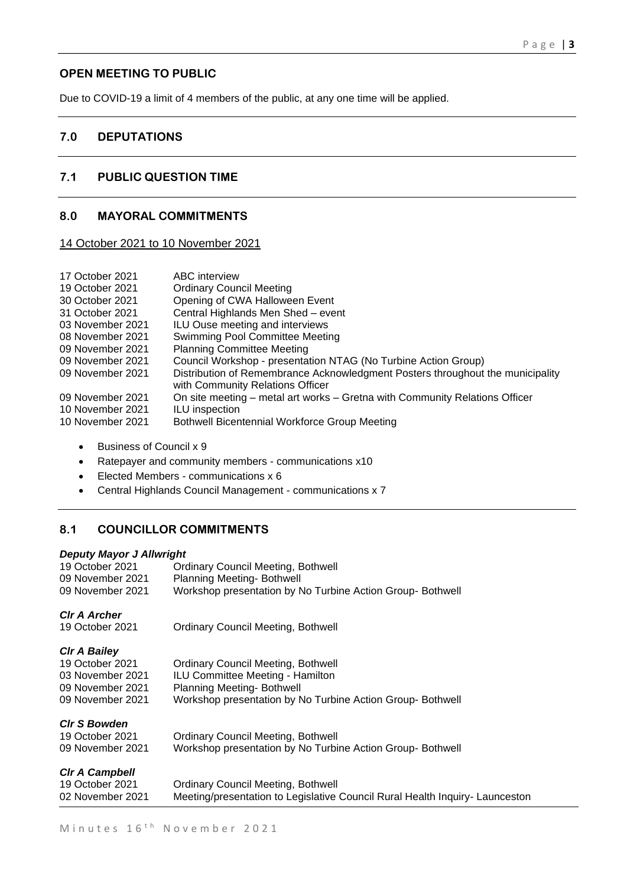## **OPEN MEETING TO PUBLIC**

Due to COVID-19 a limit of 4 members of the public, at any one time will be applied.

## **7.0 DEPUTATIONS**

## **7.1 PUBLIC QUESTION TIME**

## **8.0 MAYORAL COMMITMENTS**

14 October 2021 to 10 November 2021

| ABC interview                                                                                                      |
|--------------------------------------------------------------------------------------------------------------------|
| <b>Ordinary Council Meeting</b>                                                                                    |
| Opening of CWA Halloween Event                                                                                     |
| Central Highlands Men Shed - event                                                                                 |
| ILU Ouse meeting and interviews                                                                                    |
| Swimming Pool Committee Meeting                                                                                    |
| <b>Planning Committee Meeting</b>                                                                                  |
| Council Workshop - presentation NTAG (No Turbine Action Group)                                                     |
| Distribution of Remembrance Acknowledgment Posters throughout the municipality<br>with Community Relations Officer |
| On site meeting – metal art works – Gretna with Community Relations Officer                                        |
| ILU inspection                                                                                                     |
| <b>Bothwell Bicentennial Workforce Group Meeting</b>                                                               |
|                                                                                                                    |

- Business of Council x 9
- Ratepayer and community members communications x10
- Elected Members communications x 6
- Central Highlands Council Management communications x 7

## **8.1 COUNCILLOR COMMITMENTS**

### *Deputy Mayor J Allwright*

| 19 October 2021<br>09 November 2021 | <b>Ordinary Council Meeting, Bothwell</b><br><b>Planning Meeting- Bothwell</b> |
|-------------------------------------|--------------------------------------------------------------------------------|
| 09 November 2021                    | Workshop presentation by No Turbine Action Group- Bothwell                     |
| <b>CIr A Archer</b>                 |                                                                                |
| 19 October 2021                     | Ordinary Council Meeting, Bothwell                                             |
| <b>CIr A Bailey</b>                 |                                                                                |
| 19 October 2021                     | <b>Ordinary Council Meeting, Bothwell</b>                                      |
| 03 November 2021                    | ILU Committee Meeting - Hamilton                                               |
| 09 November 2021                    | <b>Planning Meeting- Bothwell</b>                                              |
| 09 November 2021                    | Workshop presentation by No Turbine Action Group- Bothwell                     |
| <b>CIr S Bowden</b>                 |                                                                                |
| 19 October 2021                     | <b>Ordinary Council Meeting, Bothwell</b>                                      |
| 09 November 2021                    | Workshop presentation by No Turbine Action Group- Bothwell                     |
| <b>CIr A Campbell</b>               |                                                                                |
| 19 October 2021                     | Ordinary Council Meeting, Bothwell                                             |
| 02 November 2021                    | Meeting/presentation to Legislative Council Rural Health Inquiry- Launceston   |
|                                     |                                                                                |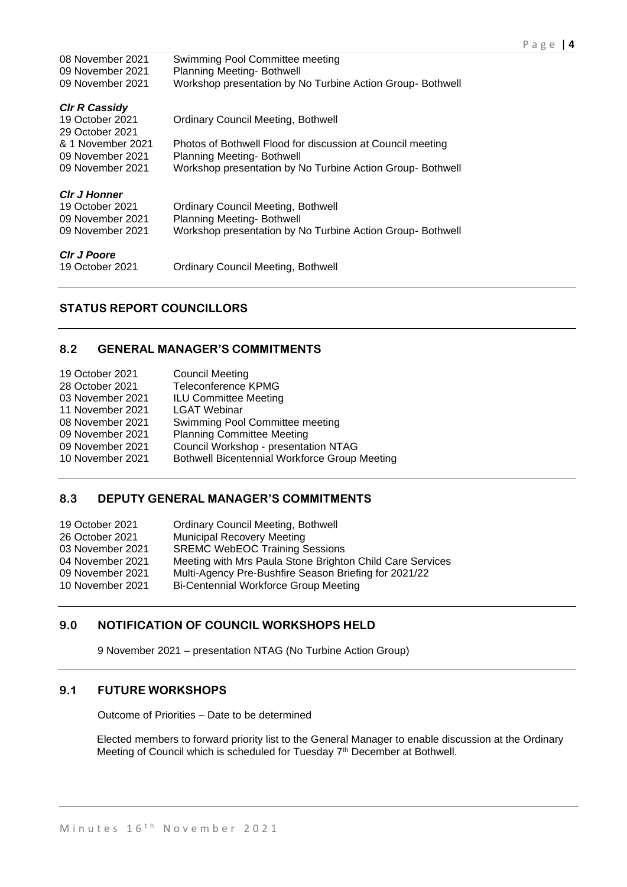| 08 November 2021<br>09 November 2021 | Swimming Pool Committee meeting<br>Planning Meeting-Bothwell                                    |
|--------------------------------------|-------------------------------------------------------------------------------------------------|
| 09 November 2021                     | Workshop presentation by No Turbine Action Group- Bothwell                                      |
| <b>CIr R Cassidy</b>                 |                                                                                                 |
| 19 October 2021                      | <b>Ordinary Council Meeting, Bothwell</b>                                                       |
| 29 October 2021<br>& 1 November 2021 | Photos of Bothwell Flood for discussion at Council meeting                                      |
| 09 November 2021                     | Planning Meeting- Bothwell                                                                      |
| 09 November 2021                     | Workshop presentation by No Turbine Action Group- Bothwell                                      |
| <b>CIr J Honner</b>                  |                                                                                                 |
| 19 October 2021                      | Ordinary Council Meeting, Bothwell                                                              |
| 09 November 2021<br>09 November 2021 | <b>Planning Meeting- Bothwell</b><br>Workshop presentation by No Turbine Action Group- Bothwell |
|                                      |                                                                                                 |
| <b>CIr J Poore</b>                   |                                                                                                 |
| 19 October 2021                      | <b>Ordinary Council Meeting, Bothwell</b>                                                       |

## **STATUS REPORT COUNCILLORS**

## **8.2 GENERAL MANAGER'S COMMITMENTS**

| 19 October 2021  | <b>Council Meeting</b>                               |
|------------------|------------------------------------------------------|
| 28 October 2021  | <b>Teleconference KPMG</b>                           |
| 03 November 2021 | <b>ILU Committee Meeting</b>                         |
| 11 November 2021 | <b>LGAT Webinar</b>                                  |
| 08 November 2021 | Swimming Pool Committee meeting                      |
| 09 November 2021 | <b>Planning Committee Meeting</b>                    |
| 09 November 2021 | Council Workshop - presentation NTAG                 |
| 10 November 2021 | <b>Bothwell Bicentennial Workforce Group Meeting</b> |
|                  |                                                      |

## **8.3 DEPUTY GENERAL MANAGER'S COMMITMENTS**

| 19 October 2021  | <b>Ordinary Council Meeting, Bothwell</b>                 |
|------------------|-----------------------------------------------------------|
| 26 October 2021  | <b>Municipal Recovery Meeting</b>                         |
| 03 November 2021 | <b>SREMC WebEOC Training Sessions</b>                     |
| 04 November 2021 | Meeting with Mrs Paula Stone Brighton Child Care Services |
| 09 November 2021 | Multi-Agency Pre-Bushfire Season Briefing for 2021/22     |
| 10 November 2021 | Bi-Centennial Workforce Group Meeting                     |
|                  |                                                           |

## **9.0 NOTIFICATION OF COUNCIL WORKSHOPS HELD**

9 November 2021 – presentation NTAG (No Turbine Action Group)

## **9.1 FUTURE WORKSHOPS**

Outcome of Priorities – Date to be determined

Elected members to forward priority list to the General Manager to enable discussion at the Ordinary Meeting of Council which is scheduled for Tuesday 7<sup>th</sup> December at Bothwell.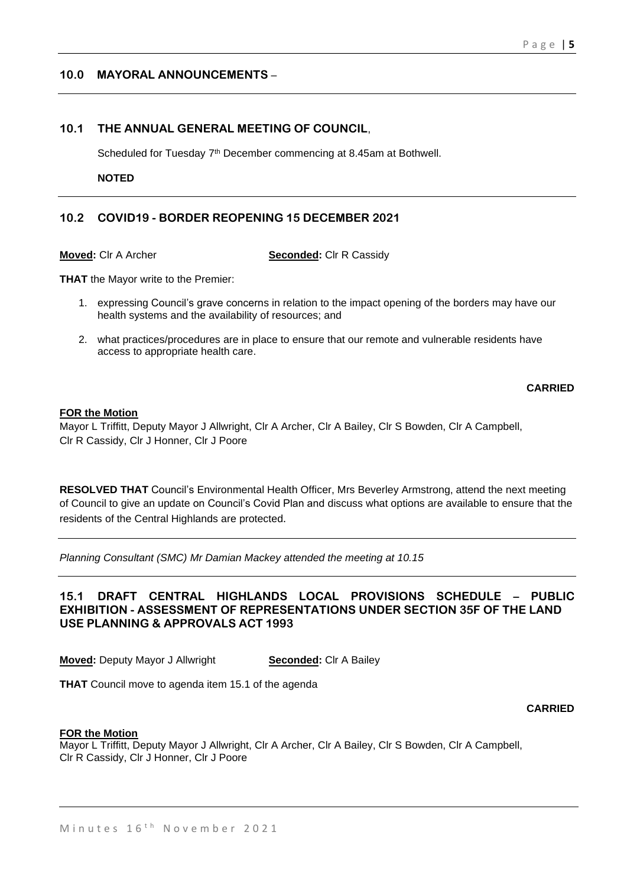## **10.0 MAYORAL ANNOUNCEMENTS** –

## **10.1 THE ANNUAL GENERAL MEETING OF COUNCIL**,

Scheduled for Tuesday 7<sup>th</sup> December commencing at 8.45am at Bothwell.

**NOTED** 

## **10.2 COVID19 - BORDER REOPENING 15 DECEMBER 2021**

**Moved:** Clr A Archer **Seconded:** Clr R Cassidy

**THAT** the Mayor write to the Premier:

- 1. expressing Council's grave concerns in relation to the impact opening of the borders may have our health systems and the availability of resources; and
- 2. what practices/procedures are in place to ensure that our remote and vulnerable residents have access to appropriate health care.

**CARRIED**

### **FOR the Motion**

Mayor L Triffitt, Deputy Mayor J Allwright, Clr A Archer, Clr A Bailey, Clr S Bowden, Clr A Campbell, Clr R Cassidy, Clr J Honner, Clr J Poore

**RESOLVED THAT** Council's Environmental Health Officer, Mrs Beverley Armstrong, attend the next meeting of Council to give an update on Council's Covid Plan and discuss what options are available to ensure that the residents of the Central Highlands are protected.

*Planning Consultant (SMC) Mr Damian Mackey attended the meeting at 10.15*

## **15.1 DRAFT CENTRAL HIGHLANDS LOCAL PROVISIONS SCHEDULE – PUBLIC EXHIBITION - ASSESSMENT OF REPRESENTATIONS UNDER SECTION 35F OF THE LAND USE PLANNING & APPROVALS ACT 1993**

**Moved:** Deputy Mayor J Allwright **Seconded:** Clr A Bailey

**THAT** Council move to agenda item 15.1 of the agenda

**CARRIED**

#### **FOR the Motion**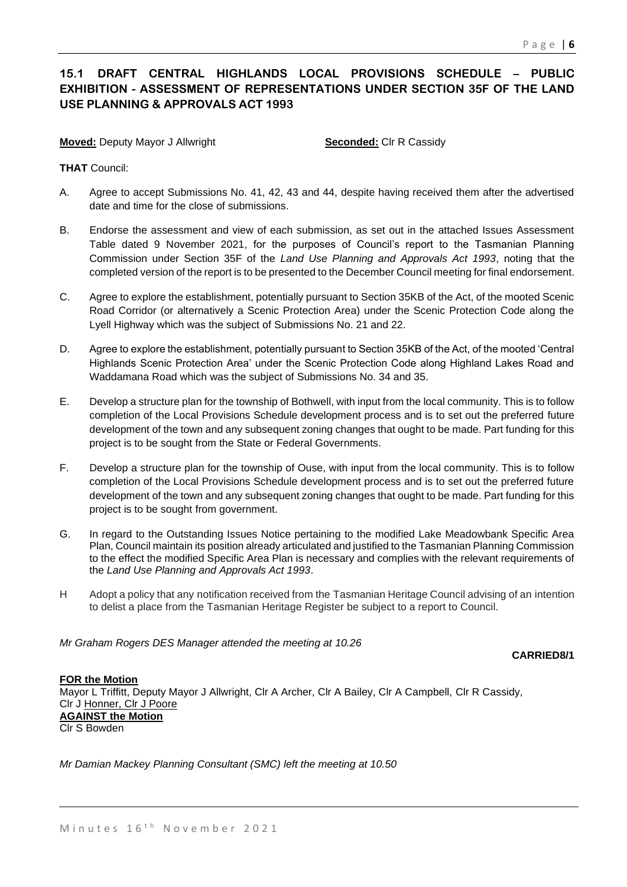## **15.1 DRAFT CENTRAL HIGHLANDS LOCAL PROVISIONS SCHEDULE – PUBLIC EXHIBITION - ASSESSMENT OF REPRESENTATIONS UNDER SECTION 35F OF THE LAND USE PLANNING & APPROVALS ACT 1993**

**Moved:** Deputy Mayor J Allwright **Seconded:** Clr R Cassidy

**THAT** Council:

- A. Agree to accept Submissions No. 41, 42, 43 and 44, despite having received them after the advertised date and time for the close of submissions.
- B. Endorse the assessment and view of each submission, as set out in the attached Issues Assessment Table dated 9 November 2021, for the purposes of Council's report to the Tasmanian Planning Commission under Section 35F of the *Land Use Planning and Approvals Act 1993*, noting that the completed version of the report is to be presented to the December Council meeting for final endorsement.
- C. Agree to explore the establishment, potentially pursuant to Section 35KB of the Act, of the mooted Scenic Road Corridor (or alternatively a Scenic Protection Area) under the Scenic Protection Code along the Lyell Highway which was the subject of Submissions No. 21 and 22.
- D. Agree to explore the establishment, potentially pursuant to Section 35KB of the Act, of the mooted 'Central Highlands Scenic Protection Area' under the Scenic Protection Code along Highland Lakes Road and Waddamana Road which was the subject of Submissions No. 34 and 35.
- E. Develop a structure plan for the township of Bothwell, with input from the local community. This is to follow completion of the Local Provisions Schedule development process and is to set out the preferred future development of the town and any subsequent zoning changes that ought to be made. Part funding for this project is to be sought from the State or Federal Governments.
- F. Develop a structure plan for the township of Ouse, with input from the local community. This is to follow completion of the Local Provisions Schedule development process and is to set out the preferred future development of the town and any subsequent zoning changes that ought to be made. Part funding for this project is to be sought from government.
- G. In regard to the Outstanding Issues Notice pertaining to the modified Lake Meadowbank Specific Area Plan, Council maintain its position already articulated and justified to the Tasmanian Planning Commission to the effect the modified Specific Area Plan is necessary and complies with the relevant requirements of the *Land Use Planning and Approvals Act 1993*.
- H Adopt a policy that any notification received from the Tasmanian Heritage Council advising of an intention to delist a place from the Tasmanian Heritage Register be subject to a report to Council.

*Mr Graham Rogers DES Manager attended the meeting at 10.26*

**CARRIED8/1**

**FOR the Motion** Mayor L Triffitt, Deputy Mayor J Allwright, Clr A Archer, Clr A Bailey, Clr A Campbell, Clr R Cassidy, Clr J Honner, Clr J Poore **AGAINST the Motion** Clr S Bowden

*Mr Damian Mackey Planning Consultant (SMC) left the meeting at 10.50*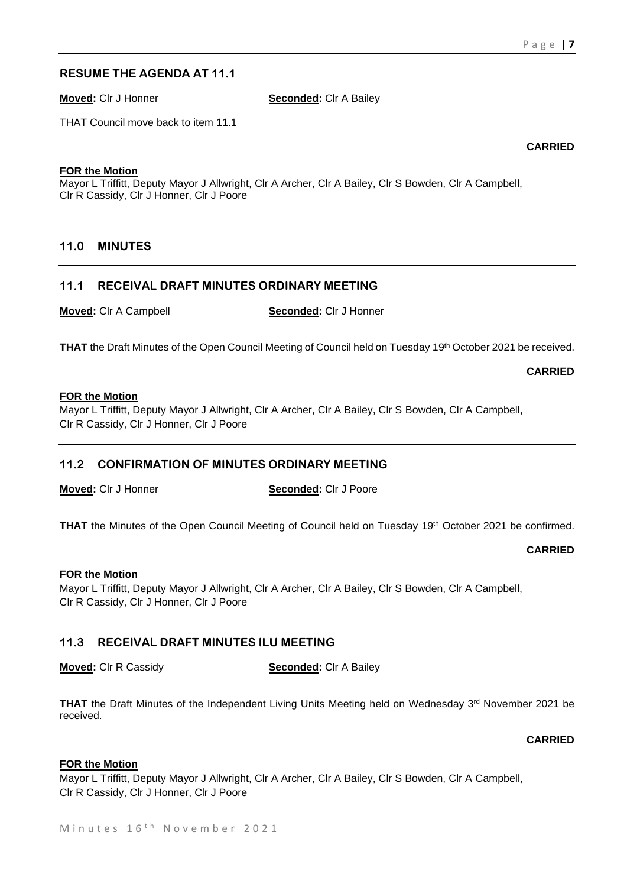## **RESUME THE AGENDA AT 11.1**

**Moved:** Clr J Honner **Seconded:** Clr A Bailey

THAT Council move back to item 11.1

**CARRIED**

#### **FOR the Motion**

Mayor L Triffitt, Deputy Mayor J Allwright, Clr A Archer, Clr A Bailey, Clr S Bowden, Clr A Campbell, Clr R Cassidy, Clr J Honner, Clr J Poore

## **11.0 MINUTES**

## **11.1 RECEIVAL DRAFT MINUTES ORDINARY MEETING**

**Moved:** Clr A Campbell **Seconded:** Clr J Honner

**THAT** the Draft Minutes of the Open Council Meeting of Council held on Tuesday 19th October 2021 be received.

**CARRIED**

#### **FOR the Motion**

Mayor L Triffitt, Deputy Mayor J Allwright, Clr A Archer, Clr A Bailey, Clr S Bowden, Clr A Campbell, Clr R Cassidy, Clr J Honner, Clr J Poore

## **11.2 CONFIRMATION OF MINUTES ORDINARY MEETING**

**Moved:** Clr J Honner **Seconded:** Clr J Poore

**THAT** the Minutes of the Open Council Meeting of Council held on Tuesday 19th October 2021 be confirmed.

**CARRIED**

#### **FOR the Motion**

Mayor L Triffitt, Deputy Mayor J Allwright, Clr A Archer, Clr A Bailey, Clr S Bowden, Clr A Campbell, Clr R Cassidy, Clr J Honner, Clr J Poore

## **11.3 RECEIVAL DRAFT MINUTES ILU MEETING**

**Moved:** Clr R Cassidy **Seconded:** Clr A Bailey

**THAT** the Draft Minutes of the Independent Living Units Meeting held on Wednesday 3<sup>rd</sup> November 2021 be received.

**CARRIED**

#### **FOR the Motion**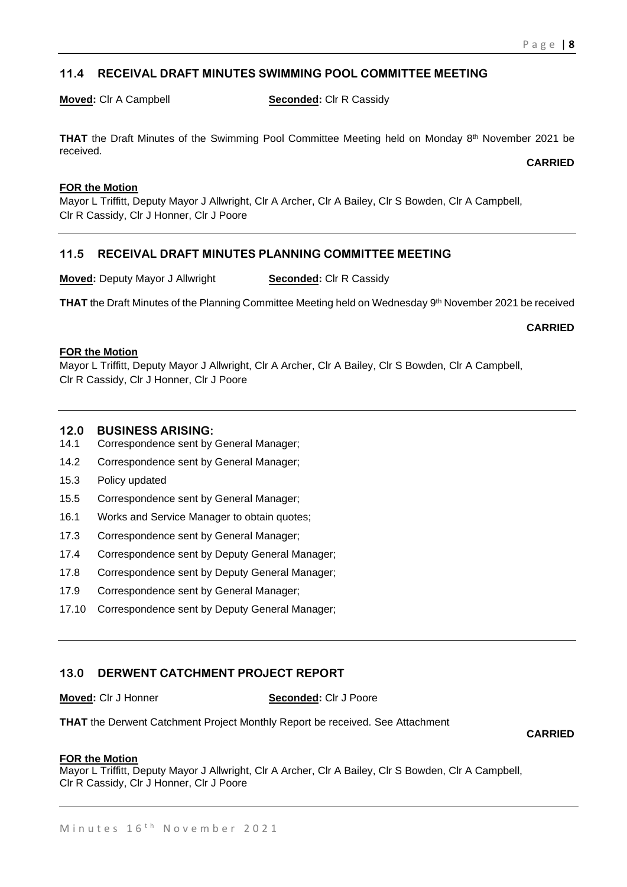## **11.4 RECEIVAL DRAFT MINUTES SWIMMING POOL COMMITTEE MEETING**

**Moved:** Clr A Campbell **Seconded:** Clr R Cassidy

**THAT** the Draft Minutes of the Swimming Pool Committee Meeting held on Monday 8<sup>th</sup> November 2021 be received.

**CARRIED**

#### **FOR the Motion**

Mayor L Triffitt, Deputy Mayor J Allwright, Clr A Archer, Clr A Bailey, Clr S Bowden, Clr A Campbell, Clr R Cassidy, Clr J Honner, Clr J Poore

## **11.5 RECEIVAL DRAFT MINUTES PLANNING COMMITTEE MEETING**

**Moved:** Deputy Mayor J Allwright **Seconded:** Clr R Cassidy

**THAT** the Draft Minutes of the Planning Committee Meeting held on Wednesday 9<sup>th</sup> November 2021 be received

**CARRIED**

#### **FOR the Motion**

Mayor L Triffitt, Deputy Mayor J Allwright, Clr A Archer, Clr A Bailey, Clr S Bowden, Clr A Campbell, Clr R Cassidy, Clr J Honner, Clr J Poore

### **12.0 BUSINESS ARISING:**

- 14.1 Correspondence sent by General Manager;
- 14.2 Correspondence sent by General Manager;
- 15.3 Policy updated
- 15.5 Correspondence sent by General Manager;
- 16.1 Works and Service Manager to obtain quotes;
- 17.3 Correspondence sent by General Manager;
- 17.4 Correspondence sent by Deputy General Manager;
- 17.8 Correspondence sent by Deputy General Manager;
- 17.9 Correspondence sent by General Manager;
- 17.10 Correspondence sent by Deputy General Manager;

## **13.0 DERWENT CATCHMENT PROJECT REPORT**

**Moved:** Clr J Honner **Seconded:** Clr J Poore

**THAT** the Derwent Catchment Project Monthly Report be received. See Attachment

**CARRIED**

#### **FOR the Motion**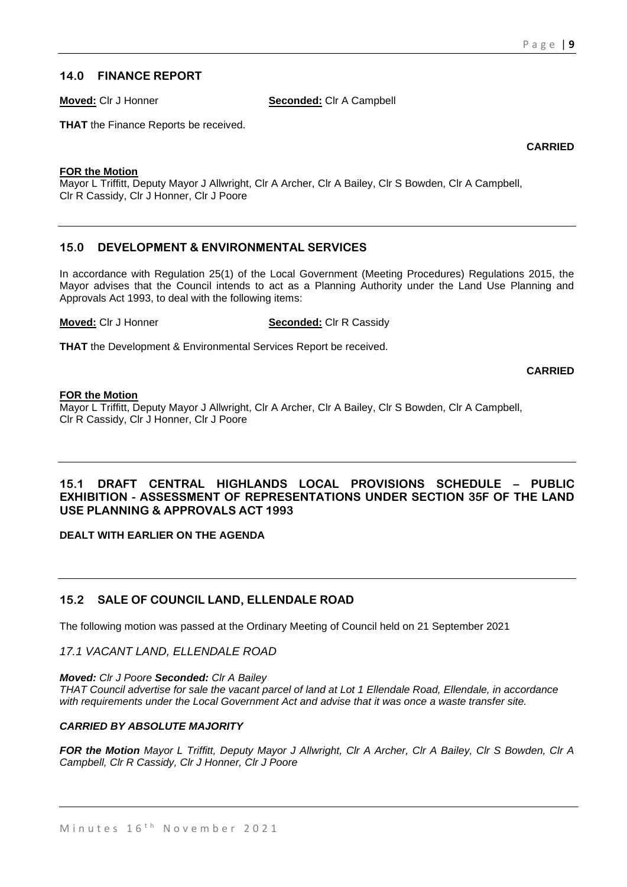## **14.0 FINANCE REPORT**

**Moved:** Clr J Honner **Seconded:** Clr A Campbell

**THAT** the Finance Reports be received.

**CARRIED**

#### **FOR the Motion**

Mayor L Triffitt, Deputy Mayor J Allwright, Clr A Archer, Clr A Bailey, Clr S Bowden, Clr A Campbell, Clr R Cassidy, Clr J Honner, Clr J Poore

## **15.0 DEVELOPMENT & ENVIRONMENTAL SERVICES**

In accordance with Regulation 25(1) of the Local Government (Meeting Procedures) Regulations 2015, the Mayor advises that the Council intends to act as a Planning Authority under the Land Use Planning and Approvals Act 1993, to deal with the following items:

**Moved:** Clr J Honner **Seconded:** Clr R Cassidy

**THAT** the Development & Environmental Services Report be received.

**CARRIED**

### **FOR the Motion**

Mayor L Triffitt, Deputy Mayor J Allwright, Clr A Archer, Clr A Bailey, Clr S Bowden, Clr A Campbell, Clr R Cassidy, Clr J Honner, Clr J Poore

## **15.1 DRAFT CENTRAL HIGHLANDS LOCAL PROVISIONS SCHEDULE – PUBLIC EXHIBITION - ASSESSMENT OF REPRESENTATIONS UNDER SECTION 35F OF THE LAND USE PLANNING & APPROVALS ACT 1993**

**DEALT WITH EARLIER ON THE AGENDA**

## **15.2 SALE OF COUNCIL LAND, ELLENDALE ROAD**

The following motion was passed at the Ordinary Meeting of Council held on 21 September 2021

*17.1 VACANT LAND, ELLENDALE ROAD* 

*Moved: Clr J Poore Seconded: Clr A Bailey* 

*THAT Council advertise for sale the vacant parcel of land at Lot 1 Ellendale Road, Ellendale, in accordance with requirements under the Local Government Act and advise that it was once a waste transfer site.* 

### *CARRIED BY ABSOLUTE MAJORITY*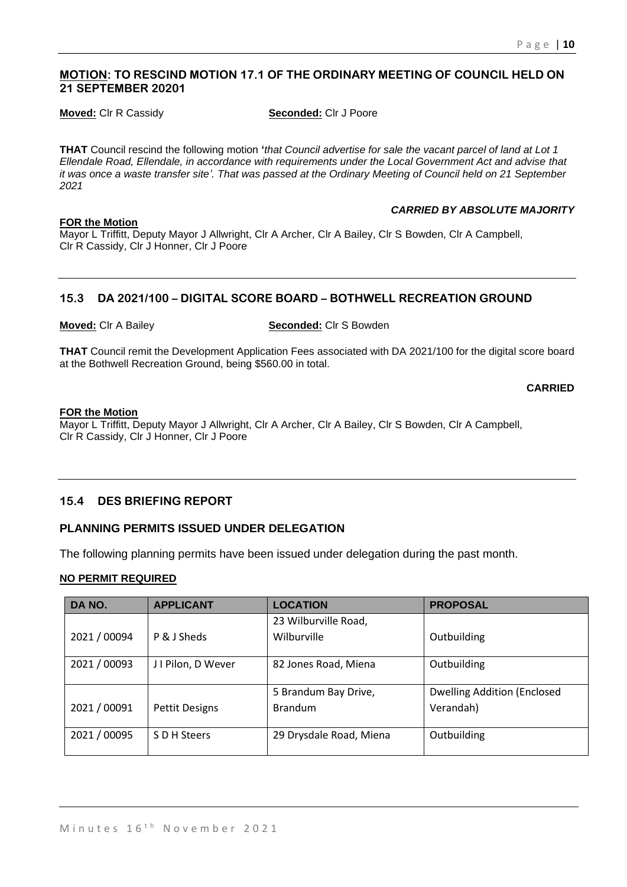## **MOTION: TO RESCIND MOTION 17.1 OF THE ORDINARY MEETING OF COUNCIL HELD ON 21 SEPTEMBER 20201**

**Moved:** Clr R Cassidy **Seconded:** Clr J Poore

**THAT** Council rescind the following motion **'***that Council advertise for sale the vacant parcel of land at Lot 1 Ellendale Road, Ellendale, in accordance with requirements under the Local Government Act and advise that it was once a waste transfer site'. That was passed at the Ordinary Meeting of Council held on 21 September 2021* 

#### **FOR the Motion**

*CARRIED BY ABSOLUTE MAJORITY* 

Mayor L Triffitt, Deputy Mayor J Allwright, Clr A Archer, Clr A Bailey, Clr S Bowden, Clr A Campbell, Clr R Cassidy, Clr J Honner, Clr J Poore

## **15.3 DA 2021/100 – DIGITAL SCORE BOARD – BOTHWELL RECREATION GROUND**

#### **Moved:** Clr A Bailey **Seconded:** Clr S Bowden

**THAT** Council remit the Development Application Fees associated with DA 2021/100 for the digital score board at the Bothwell Recreation Ground, being \$560.00 in total.

**CARRIED**

#### **FOR the Motion**

Mayor L Triffitt, Deputy Mayor J Allwright, Clr A Archer, Clr A Bailey, Clr S Bowden, Clr A Campbell, Clr R Cassidy, Clr J Honner, Clr J Poore

### **15.4 DES BRIEFING REPORT**

## **PLANNING PERMITS ISSUED UNDER DELEGATION**

The following planning permits have been issued under delegation during the past month.

## **NO PERMIT REQUIRED**

| DA NO.       | <b>APPLICANT</b>      | <b>LOCATION</b>         | <b>PROPOSAL</b>                     |
|--------------|-----------------------|-------------------------|-------------------------------------|
|              |                       | 23 Wilburville Road,    |                                     |
| 2021 / 00094 | P & J Sheds           | Wilburville             | Outbuilding                         |
| 2021 / 00093 | J I Pilon, D Wever    | 82 Jones Road, Miena    | Outbuilding                         |
|              |                       | 5 Brandum Bay Drive,    | <b>Dwelling Addition (Enclosed)</b> |
| 2021 / 00091 | <b>Pettit Designs</b> | <b>Brandum</b>          | Verandah)                           |
| 2021 / 00095 | S D H Steers          | 29 Drysdale Road, Miena | Outbuilding                         |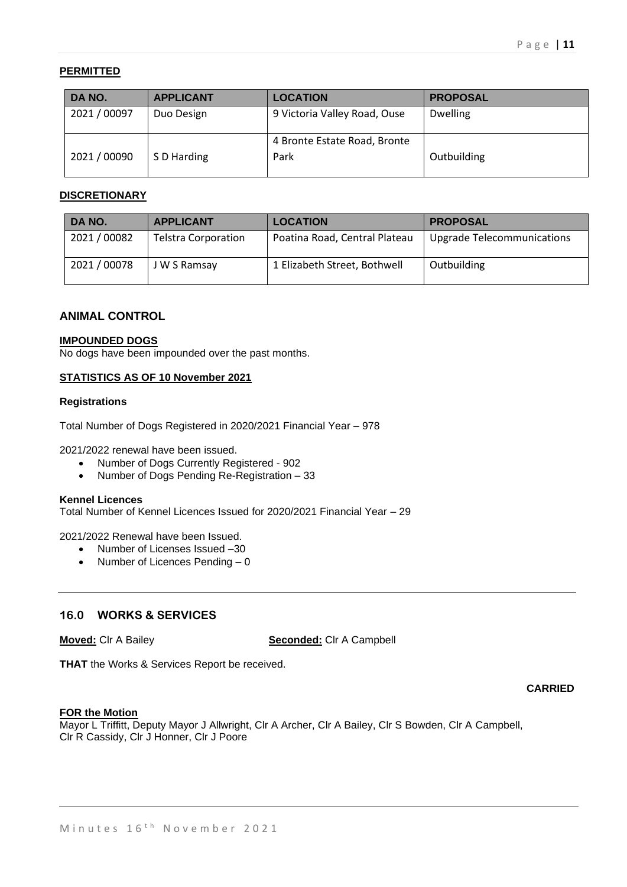## **PERMITTED**

| DA NO.       | <b>APPLICANT</b> | <b>LOCATION</b>              | <b>PROPOSAL</b> |
|--------------|------------------|------------------------------|-----------------|
| 2021 / 00097 | Duo Design       | 9 Victoria Valley Road, Ouse | <b>Dwelling</b> |
|              |                  | 4 Bronte Estate Road, Bronte |                 |
| 2021 / 00090 | S D Harding      | Park                         | Outbuilding     |

#### **DISCRETIONARY**

| DA NO.       | <b>APPLICANT</b>           | <b>LOCATION</b>               | <b>PROPOSAL</b>                   |
|--------------|----------------------------|-------------------------------|-----------------------------------|
| 2021 / 00082 | <b>Telstra Corporation</b> | Poatina Road, Central Plateau | <b>Upgrade Telecommunications</b> |
| 2021 / 00078 | J W S Ramsay               | 1 Elizabeth Street, Bothwell  | Outbuilding                       |

### **ANIMAL CONTROL**

#### **IMPOUNDED DOGS**

No dogs have been impounded over the past months.

#### **STATISTICS AS OF 10 November 2021**

#### **Registrations**

Total Number of Dogs Registered in 2020/2021 Financial Year – 978

2021/2022 renewal have been issued.

- Number of Dogs Currently Registered 902
- Number of Dogs Pending Re-Registration 33

#### **Kennel Licences**

Total Number of Kennel Licences Issued for 2020/2021 Financial Year – 29

2021/2022 Renewal have been Issued.

- Number of Licenses Issued -30
- Number of Licences Pending 0

### **16.0 WORKS & SERVICES**

**Moved:** Clr A Bailey **Seconded:** Clr A Campbell

**THAT** the Works & Services Report be received.

**CARRIED**

#### **FOR the Motion**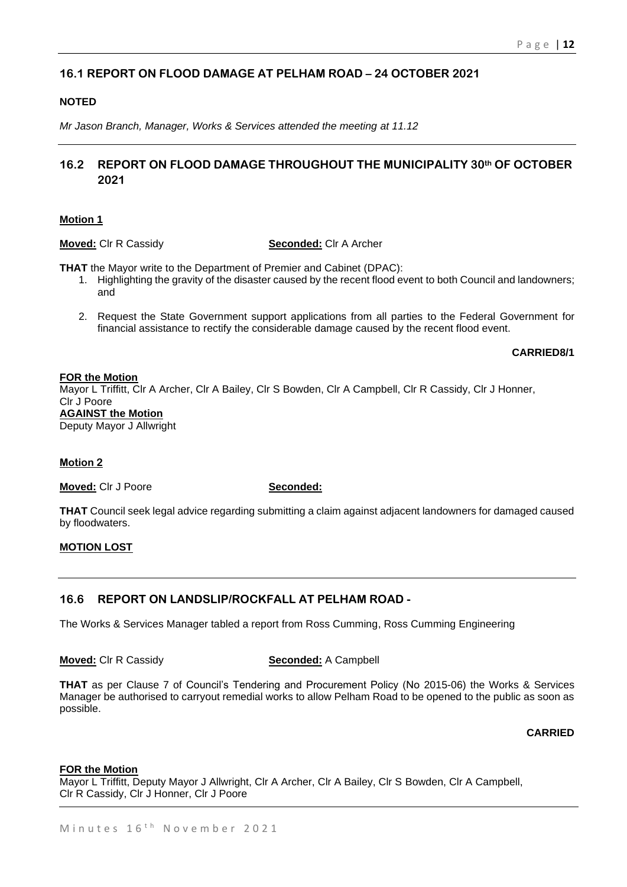## **16.1 REPORT ON FLOOD DAMAGE AT PELHAM ROAD – 24 OCTOBER 2021**

## **NOTED**

*Mr Jason Branch, Manager, Works & Services attended the meeting at 11.12*

## **16.2 REPORT ON FLOOD DAMAGE THROUGHOUT THE MUNICIPALITY 30th OF OCTOBER 2021**

#### **Motion 1**

#### **Moved:** Clr R Cassidy **Seconded:** Clr A Archer

**THAT** the Mayor write to the Department of Premier and Cabinet (DPAC):

- 1. Highlighting the gravity of the disaster caused by the recent flood event to both Council and landowners; and
- 2. Request the State Government support applications from all parties to the Federal Government for financial assistance to rectify the considerable damage caused by the recent flood event.

#### **CARRIED8/1**

#### **FOR the Motion**

Mayor L Triffitt, Clr A Archer, Clr A Bailey, Clr S Bowden, Clr A Campbell, Clr R Cassidy, Clr J Honner, Clr J Poore **AGAINST the Motion** Deputy Mayor J Allwright

### **Motion 2**

**Moved:** Clr J Poore **Seconded:** 

**THAT** Council seek legal advice regarding submitting a claim against adjacent landowners for damaged caused by floodwaters.

### **MOTION LOST**

## **16.6 REPORT ON LANDSLIP/ROCKFALL AT PELHAM ROAD -**

The Works & Services Manager tabled a report from Ross Cumming, Ross Cumming Engineering

#### **Moved:** Clr R Cassidy **Seconded:** A Campbell

**THAT** as per Clause 7 of Council's Tendering and Procurement Policy (No 2015-06) the Works & Services Manager be authorised to carryout remedial works to allow Pelham Road to be opened to the public as soon as possible.

**CARRIED**

#### **FOR the Motion**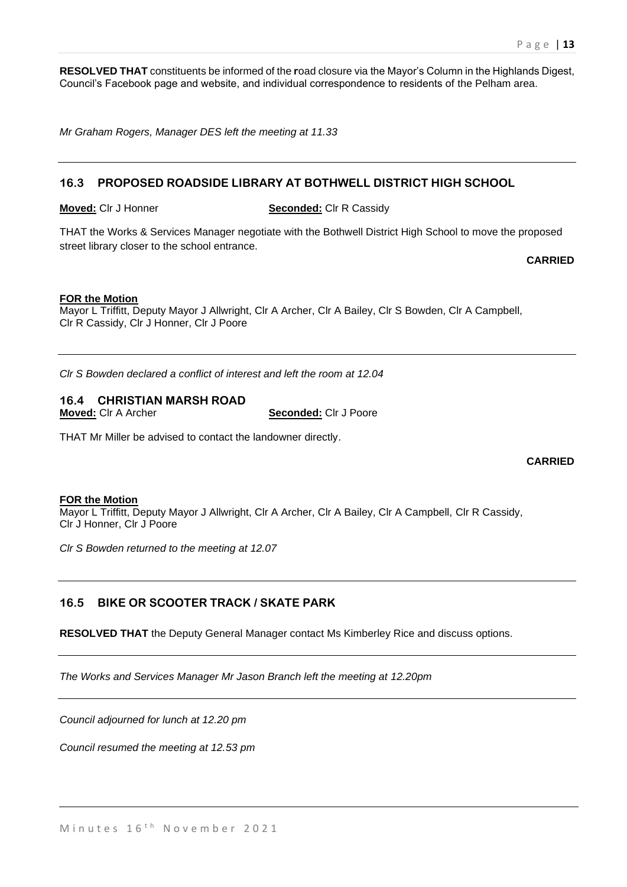**RESOLVED THAT** constituents be informed of the **r**oad closure via the Mayor's Column in the Highlands Digest, Council's Facebook page and website, and individual correspondence to residents of the Pelham area.

*Mr Graham Rogers, Manager DES left the meeting at 11.33*

#### **16.3 PROPOSED ROADSIDE LIBRARY AT BOTHWELL DISTRICT HIGH SCHOOL**

**Moved:** Clr J Honner **Seconded:** Clr R Cassidy

THAT the Works & Services Manager negotiate with the Bothwell District High School to move the proposed street library closer to the school entrance.

**CARRIED**

#### **FOR the Motion**

Mayor L Triffitt, Deputy Mayor J Allwright, Clr A Archer, Clr A Bailey, Clr S Bowden, Clr A Campbell, Clr R Cassidy, Clr J Honner, Clr J Poore

*Clr S Bowden declared a conflict of interest and left the room at 12.04*

### **16.4 CHRISTIAN MARSH ROAD**

**Moved:** Clr A Archer **Seconded:** Clr J Poore

THAT Mr Miller be advised to contact the landowner directly.

**CARRIED**

#### **FOR the Motion**

Mayor L Triffitt, Deputy Mayor J Allwright, Clr A Archer, Clr A Bailey, Clr A Campbell, Clr R Cassidy, Clr J Honner, Clr J Poore

*Clr S Bowden returned to the meeting at 12.07*

### **16.5 BIKE OR SCOOTER TRACK / SKATE PARK**

**RESOLVED THAT** the Deputy General Manager contact Ms Kimberley Rice and discuss options.

*The Works and Services Manager Mr Jason Branch left the meeting at 12.20pm*

*Council adjourned for lunch at 12.20 pm*

*Council resumed the meeting at 12.53 pm*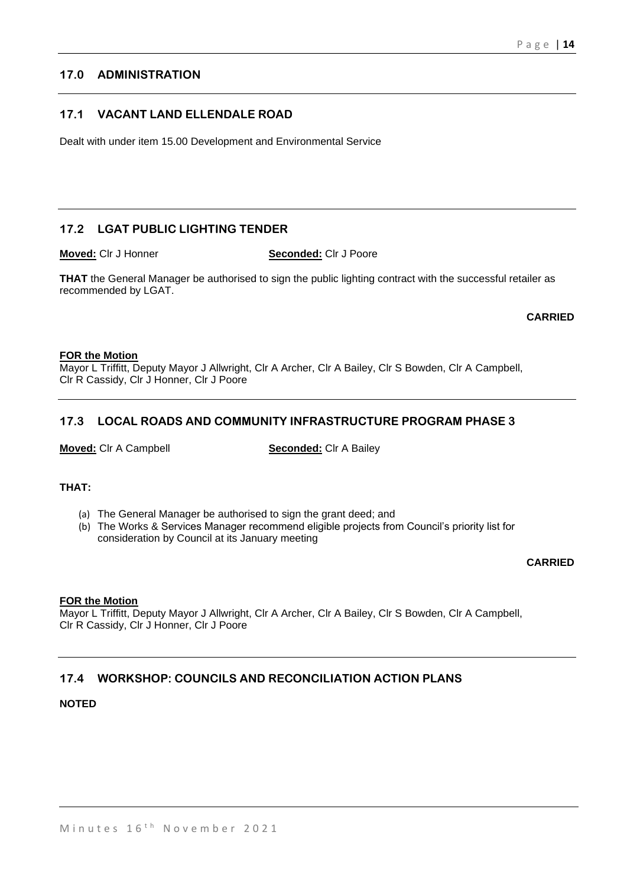## **17.0 ADMINISTRATION**

## **17.1 VACANT LAND ELLENDALE ROAD**

Dealt with under item 15.00 Development and Environmental Service

## **17.2 LGAT PUBLIC LIGHTING TENDER**

**Moved:** Clr J Honner **Seconded:** Clr J Poore

**THAT** the General Manager be authorised to sign the public lighting contract with the successful retailer as recommended by LGAT.

**CARRIED**

#### **FOR the Motion**

Mayor L Triffitt, Deputy Mayor J Allwright, Clr A Archer, Clr A Bailey, Clr S Bowden, Clr A Campbell, Clr R Cassidy, Clr J Honner, Clr J Poore

## **17.3 LOCAL ROADS AND COMMUNITY INFRASTRUCTURE PROGRAM PHASE 3**

**Moved:** Clr A Campbell **Seconded:** Clr A Bailey

### **THAT:**

- (a) The General Manager be authorised to sign the grant deed; and
- (b) The Works & Services Manager recommend eligible projects from Council's priority list for consideration by Council at its January meeting

#### **CARRIED**

## **FOR the Motion**

Mayor L Triffitt, Deputy Mayor J Allwright, Clr A Archer, Clr A Bailey, Clr S Bowden, Clr A Campbell, Clr R Cassidy, Clr J Honner, Clr J Poore

## **17.4 WORKSHOP: COUNCILS AND RECONCILIATION ACTION PLANS**

#### **NOTED**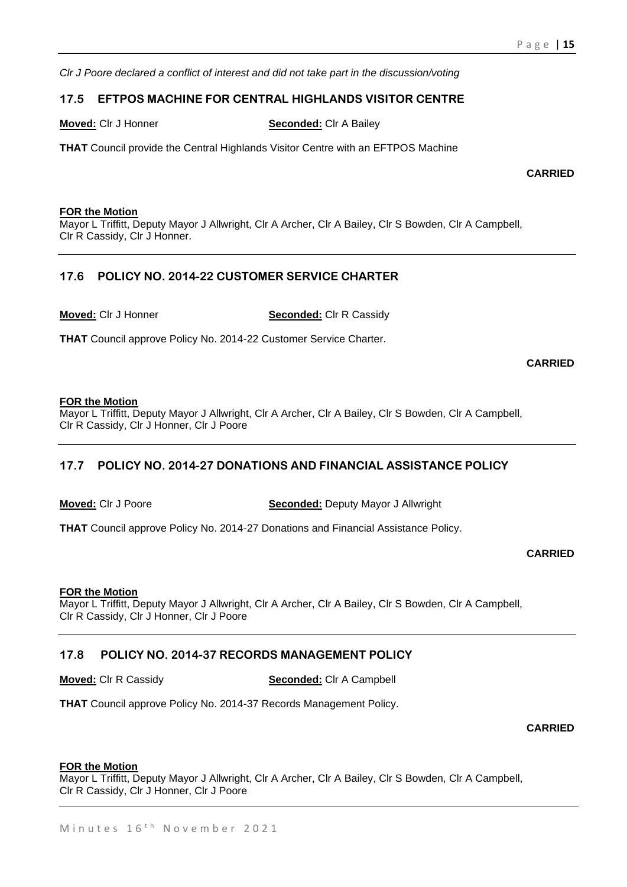*Clr J Poore declared a conflict of interest and did not take part in the discussion/voting*

## **17.5 EFTPOS MACHINE FOR CENTRAL HIGHLANDS VISITOR CENTRE**

**Moved:** Clr J Honner **Seconded:** Clr A Bailey

**THAT** Council provide the Central Highlands Visitor Centre with an EFTPOS Machine

**CARRIED**

#### **FOR the Motion**

Mayor L Triffitt, Deputy Mayor J Allwright, Clr A Archer, Clr A Bailey, Clr S Bowden, Clr A Campbell, Clr R Cassidy, Clr J Honner.

## **17.6 POLICY NO. 2014-22 CUSTOMER SERVICE CHARTER**

**Moved:** Clr J Honner **Seconded:** Clr R Cassidy

**THAT** Council approve Policy No. 2014-22 Customer Service Charter.

**CARRIED**

#### **FOR the Motion**

Mayor L Triffitt, Deputy Mayor J Allwright, Clr A Archer, Clr A Bailey, Clr S Bowden, Clr A Campbell, Clr R Cassidy, Clr J Honner, Clr J Poore

## **17.7 POLICY NO. 2014-27 DONATIONS AND FINANCIAL ASSISTANCE POLICY**

**Moved:** Clr J Poore **Seconded:** Deputy Mayor J Allwright

**THAT** Council approve Policy No. 2014-27 Donations and Financial Assistance Policy.

**CARRIED**

#### **FOR the Motion**

Mayor L Triffitt, Deputy Mayor J Allwright, Clr A Archer, Clr A Bailey, Clr S Bowden, Clr A Campbell, Clr R Cassidy, Clr J Honner, Clr J Poore

## **17.8 POLICY NO. 2014-37 RECORDS MANAGEMENT POLICY**

**Moved:** Clr R Cassidy **Seconded:** Clr A Campbell

**THAT** Council approve Policy No. 2014-37 Records Management Policy.

**CARRIED**

## **FOR the Motion**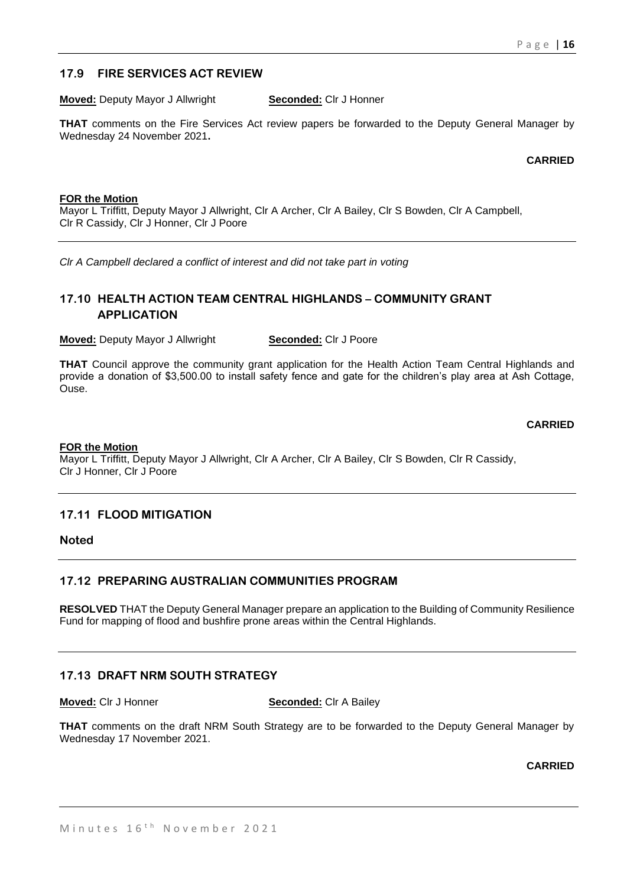## **17.9 FIRE SERVICES ACT REVIEW**

**Moved:** Deputy Mayor J Allwright **Seconded:** Clr J Honner

**THAT** comments on the Fire Services Act review papers be forwarded to the Deputy General Manager by Wednesday 24 November 2021**.**

#### **CARRIED**

#### **FOR the Motion**

Mayor L Triffitt, Deputy Mayor J Allwright, Clr A Archer, Clr A Bailey, Clr S Bowden, Clr A Campbell, Clr R Cassidy, Clr J Honner, Clr J Poore

*Clr A Campbell declared a conflict of interest and did not take part in voting*

## **17.10 HEALTH ACTION TEAM CENTRAL HIGHLANDS – COMMUNITY GRANT APPLICATION**

**Moved:** Deputy Mayor J Allwright **Seconded:** Clr J Poore

**THAT** Council approve the community grant application for the Health Action Team Central Highlands and provide a donation of \$3,500.00 to install safety fence and gate for the children's play area at Ash Cottage, Ouse.

#### **CARRIED**

#### **FOR the Motion**

Mayor L Triffitt, Deputy Mayor J Allwright, Clr A Archer, Clr A Bailey, Clr S Bowden, Clr R Cassidy, Clr J Honner, Clr J Poore

### **17.11 FLOOD MITIGATION**

**Noted** 

### **17.12 PREPARING AUSTRALIAN COMMUNITIES PROGRAM**

**RESOLVED** THAT the Deputy General Manager prepare an application to the Building of Community Resilience Fund for mapping of flood and bushfire prone areas within the Central Highlands.

## **17.13 DRAFT NRM SOUTH STRATEGY**

**Moved:** Clr J Honner **Seconded:** Clr A Bailey

**THAT** comments on the draft NRM South Strategy are to be forwarded to the Deputy General Manager by Wednesday 17 November 2021.

**CARRIED**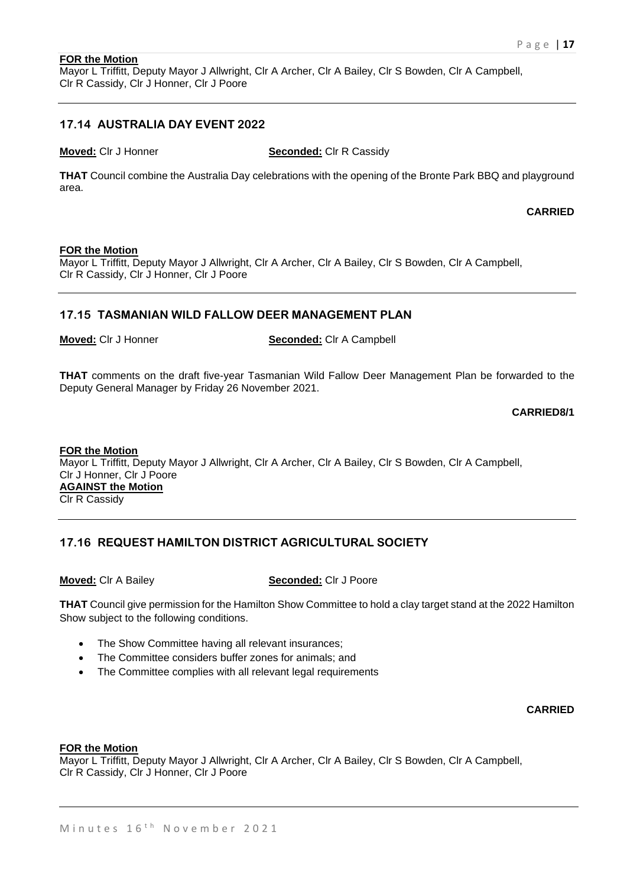## **FOR the Motion**

Mayor L Triffitt, Deputy Mayor J Allwright, Clr A Archer, Clr A Bailey, Clr S Bowden, Clr A Campbell, Clr R Cassidy, Clr J Honner, Clr J Poore

## **17.14 AUSTRALIA DAY EVENT 2022**

**Moved:** Clr J Honner **Seconded:** Clr R Cassidy

**THAT** Council combine the Australia Day celebrations with the opening of the Bronte Park BBQ and playground area.

**CARRIED**

#### **FOR the Motion**

Mayor L Triffitt, Deputy Mayor J Allwright, Clr A Archer, Clr A Bailey, Clr S Bowden, Clr A Campbell, Clr R Cassidy, Clr J Honner, Clr J Poore

#### **17.15 TASMANIAN WILD FALLOW DEER MANAGEMENT PLAN**

**Moved:** Clr J Honner **Seconded:** Clr A Campbell

**THAT** comments on the draft five-year Tasmanian Wild Fallow Deer Management Plan be forwarded to the Deputy General Manager by Friday 26 November 2021.

#### **CARRIED8/1**

**FOR the Motion** Mayor L Triffitt, Deputy Mayor J Allwright, Clr A Archer, Clr A Bailey, Clr S Bowden, Clr A Campbell, Clr J Honner, Clr J Poore **AGAINST the Motion** Clr R Cassidy

## **17.16 REQUEST HAMILTON DISTRICT AGRICULTURAL SOCIETY**

**Moved:** Clr A Bailey **Seconded:** Clr J Poore

**THAT** Council give permission for the Hamilton Show Committee to hold a clay target stand at the 2022 Hamilton Show subject to the following conditions.

- The Show Committee having all relevant insurances:
- The Committee considers buffer zones for animals; and
- The Committee complies with all relevant legal requirements

**CARRIED**

#### **FOR the Motion**